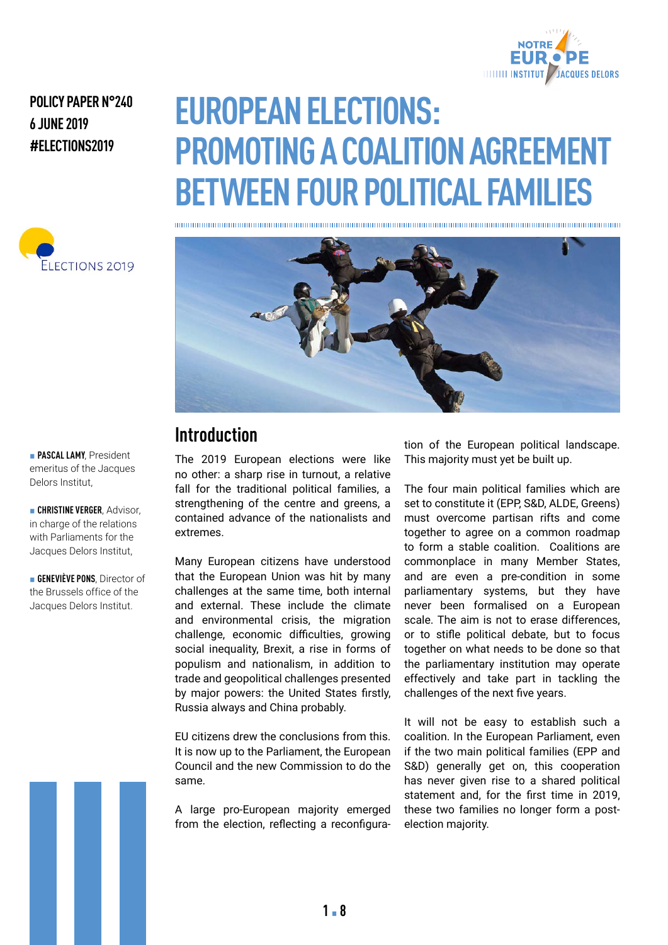

#### **POLICY PAPER N°240 6 JUNE 2019 #ELECTIONS2019**



## **EUROPEAN ELECTIONS: PROMOTING A COALITION AGREEMENT BETWEEN FOUR POLITICAL FAMILIES**



#### **Introduction**

The 2019 European elections were like no other: a sharp rise in turnout, a relative fall for the traditional political families, a strengthening of the centre and greens, a contained advance of the nationalists and extremes.

Many European citizens have understood that the European Union was hit by many challenges at the same time, both internal and external. These include the climate and environmental crisis, the migration challenge, economic difficulties, growing social inequality, Brexit, a rise in forms of populism and nationalism, in addition to trade and geopolitical challenges presented by major powers: the United States firstly, Russia always and China probably.

EU citizens drew the conclusions from this. It is now up to the Parliament, the European Council and the new Commission to do the same.

A large pro-European majority emerged from the election, reflecting a reconfiguration of the European political landscape. This majority must yet be built up.

The four main political families which are set to constitute it (EPP, S&D, ALDE, Greens) must overcome partisan rifts and come together to agree on a common roadmap to form a stable coalition. Coalitions are commonplace in many Member States, and are even a pre-condition in some parliamentary systems, but they have never been formalised on a European scale. The aim is not to erase differences, or to stifle political debate, but to focus together on what needs to be done so that the parliamentary institution may operate effectively and take part in tackling the challenges of the next five years.

It will not be easy to establish such a coalition. In the European Parliament, even if the two main political families (EPP and S&D) generally get on, this cooperation has never given rise to a shared political statement and, for the first time in 2019, these two families no longer form a postelection majority.

**PASCAL LAMY**, President emeritus of the Jacques Delors Institut,

**E** CHRISTINE VERGER, Advisor, in charge of the relations with Parliaments for the Jacques Delors Institut,

**GENEVIÈVE PONS**, Director of the Brussels office of the Jacques Delors Institut.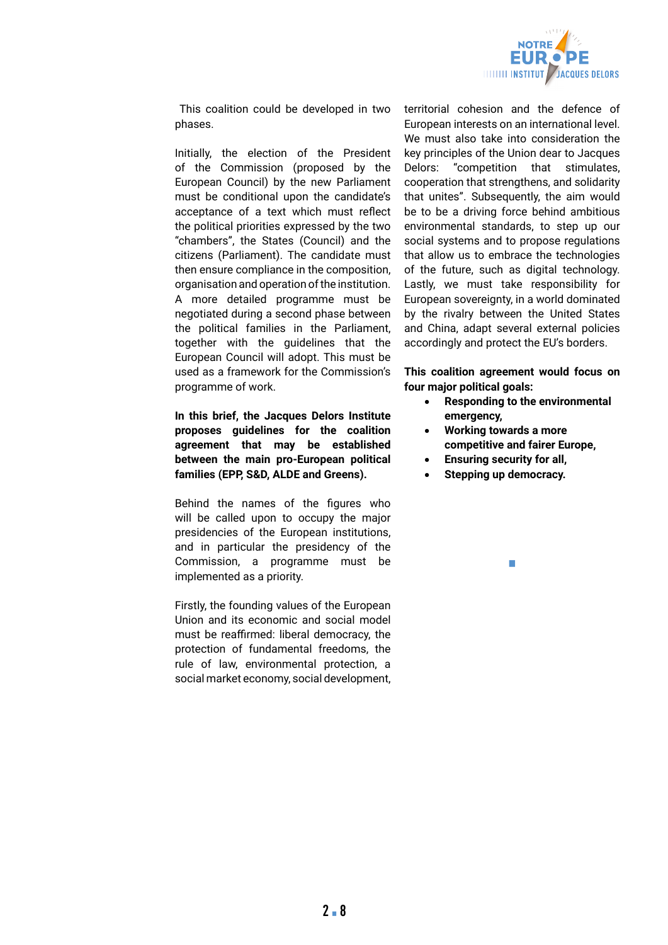

 This coalition could be developed in two phases.

Initially, the election of the President of the Commission (proposed by the European Council) by the new Parliament must be conditional upon the candidate's acceptance of a text which must reflect the political priorities expressed by the two "chambers", the States (Council) and the citizens (Parliament). The candidate must then ensure compliance in the composition, organisation and operation of the institution. A more detailed programme must be negotiated during a second phase between the political families in the Parliament, together with the guidelines that the European Council will adopt. This must be used as a framework for the Commission's programme of work.

**In this brief, the Jacques Delors Institute proposes guidelines for the coalition agreement that may be established between the main pro-European political families (EPP, S&D, ALDE and Greens).** 

Behind the names of the figures who will be called upon to occupy the major presidencies of the European institutions, and in particular the presidency of the Commission, a programme must be implemented as a priority.

Firstly, the founding values of the European Union and its economic and social model must be reaffirmed: liberal democracy, the protection of fundamental freedoms, the rule of law, environmental protection, a social market economy, social development,

territorial cohesion and the defence of European interests on an international level. We must also take into consideration the key principles of the Union dear to Jacques Delors: "competition that stimulates, cooperation that strengthens, and solidarity that unites". Subsequently, the aim would be to be a driving force behind ambitious environmental standards, to step up our social systems and to propose regulations that allow us to embrace the technologies of the future, such as digital technology. Lastly, we must take responsibility for European sovereignty, in a world dominated by the rivalry between the United States and China, adapt several external policies accordingly and protect the EU's borders.

**This coalition agreement would focus on four major political goals:**

- **Responding to the environmental emergency,**
- **Working towards a more competitive and fairer Europe,**

- **Ensuring security for all,**
- **Stepping up democracy.**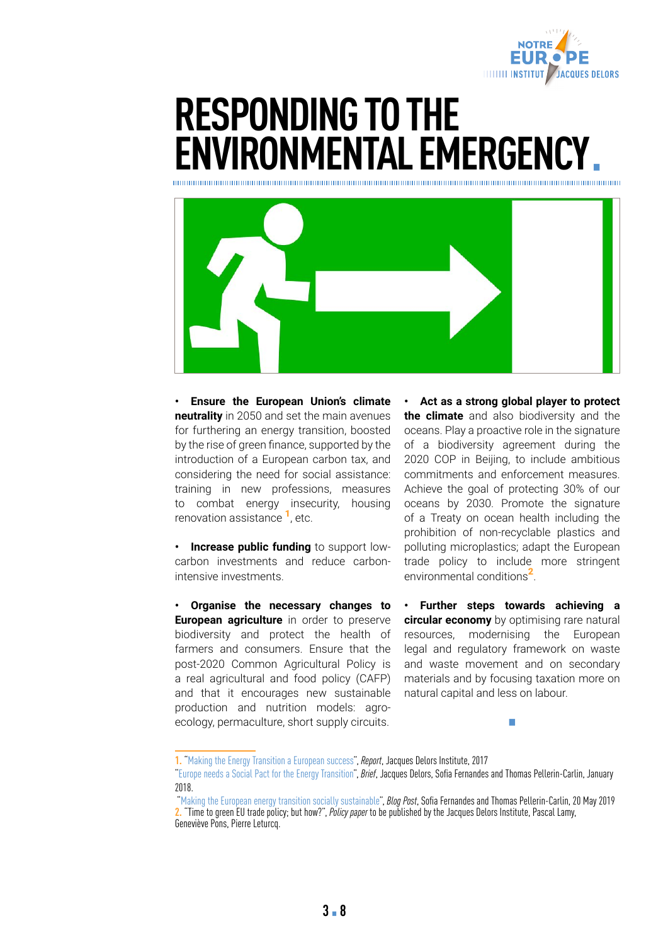

### **RESPONDING TO THE ENVIRONMENTAL EMERGENCY**



**• Ensure the European Union's climate neutrality** in 2050 and set the main avenues for furthering an energy transition, boosted by the rise of green finance, supported by the introduction of a European carbon tax, and considering the need for social assistance: training in new professions, measures to combat energy insecurity, housing renovation assistance <sup>1</sup>, etc.

**• Increase public funding** to support lowcarbon investments and reduce carbonintensive investments.

**• Organise the necessary changes to European agriculture** in order to preserve biodiversity and protect the health of farmers and consumers. Ensure that the post-2020 Common Agricultural Policy is a real agricultural and food policy (CAFP) and that it encourages new sustainable production and nutrition models: agroecology, permaculture, short supply circuits.

**• Act as a strong global player to protect the climate** and also biodiversity and the oceans. Play a proactive role in the signature of a biodiversity agreement during the 2020 COP in Beijing, to include ambitious commitments and enforcement measures. Achieve the goal of protecting 30% of our oceans by 2030. Promote the signature of a Treaty on ocean health including the prohibition of non-recyclable plastics and polluting microplastics; adapt the European trade policy to include more stringent environmental conditions<sup>2</sup>

**• Further steps towards achieving a circular economy** by optimising rare natural resources, modernising the European legal and regulatory framework on waste and waste movement and on secondary materials and by focusing taxation more on natural capital and less on labour.

**<sup>1.</sup>** ["Making the Energy Transition a European success](http://institutdelors.eu/publications/making-the-energy-transition-a-european-success/?lang=en)", *Report*, Jacques Delors Institute, 2017

[<sup>&</sup>quot;Europe needs a Social Pact for the Energy Transition](http://institutdelors.eu/publications/europe-needs-a-social-pact-for-the-energy-transition/?lang=en)", *Brief*, Jacques Delors, Sofia Fernandes and Thomas Pellerin-Carlin, January 2018.

["Making the European energy transition socially sustainable](http://institutdelors.eu/publications/making-the-european-energy-transition-socially-sustainable/?lang=en)", *Blog Post*, Sofia Fernandes and Thomas Pellerin-Carlin, 20 May 2019 **2.** "Time to green EU trade policy; but how?", *Policy paper* to be published by the Jacques Delors Institute, Pascal Lamy, Geneviève Pons, Pierre Leturcq.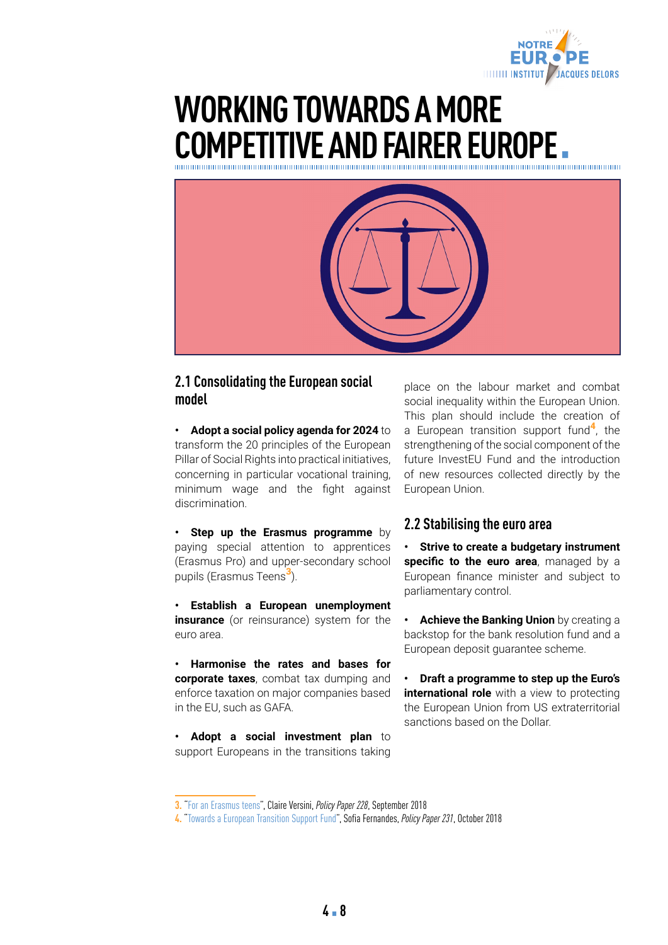

## **WORKING TOWARDS A MORE COMPETITIVE AND FAIRER EUROPE.**



#### **2.1 Consolidating the European social model**

**• Adopt a social policy agenda for 2024** to transform the 20 principles of the European Pillar of Social Rights into practical initiatives, concerning in particular vocational training, minimum wage and the fight against discrimination.

**• Step up the Erasmus programme** by paying special attention to apprentices (Erasmus Pro) and upper-secondary school pupils (Erasmus Teens<sup>3</sup>).

**• Establish a European unemployment insurance** (or reinsurance) system for the euro area.

**• Harmonise the rates and bases for corporate taxes**, combat tax dumping and enforce taxation on major companies based in the EU, such as GAFA.

**• Adopt a social investment plan** to support Europeans in the transitions taking

place on the labour market and combat social inequality within the European Union. This plan should include the creation of a European transition support fund<sup>4</sup>, the strengthening of the social component of the future InvestEU Fund and the introduction of new resources collected directly by the European Union.

#### **2.2 Stabilising the euro area**

**• Strive to create a budgetary instrument**  specific to the euro area, managed by a European finance minister and subject to parliamentary control.

**• Achieve the Banking Union** by creating a backstop for the bank resolution fund and a European deposit guarantee scheme.

**• Draft a programme to step up the Euro's international role** with a view to protecting the European Union from US extraterritorial sanctions based on the Dollar.

**<sup>3.</sup>** "[For an Erasmus teens"](http://institutdelors.eu/publications/pour-un-erasmus-teens/?lang=en), Claire Versini, *Policy Paper 228*, September 2018

**<sup>4.</sup>** "[Towards a European Transition Support Fund"](http://institutdelors.eu/publications/vers-un-fonds-europeen-daccompagnement-des-transitions/?lang=en), Sofia Fernandes, *Policy Paper 231*, October 2018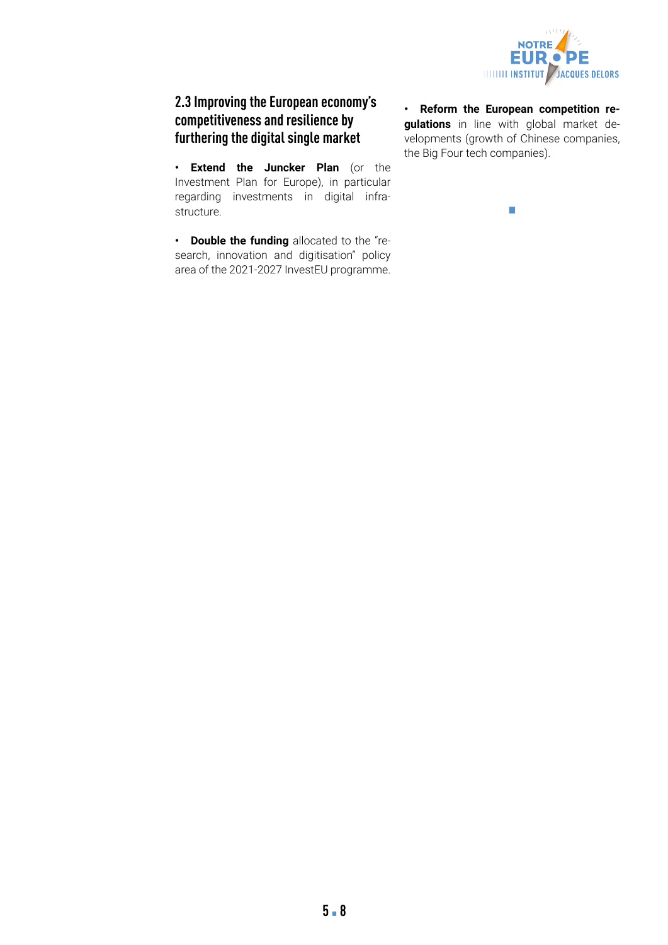

#### **2.3 Improving the European economy's competitiveness and resilience by furthering the digital single market**

**• Extend the Juncker Plan** (or the Investment Plan for Europe), in particular regarding investments in digital infrastructure.

**• Double the funding** allocated to the "research, innovation and digitisation" policy area of the 2021-2027 InvestEU programme.

**• Reform the European competition regulations** in line with global market developments (growth of Chinese companies, the Big Four tech companies).

 $\vert \cdot \vert$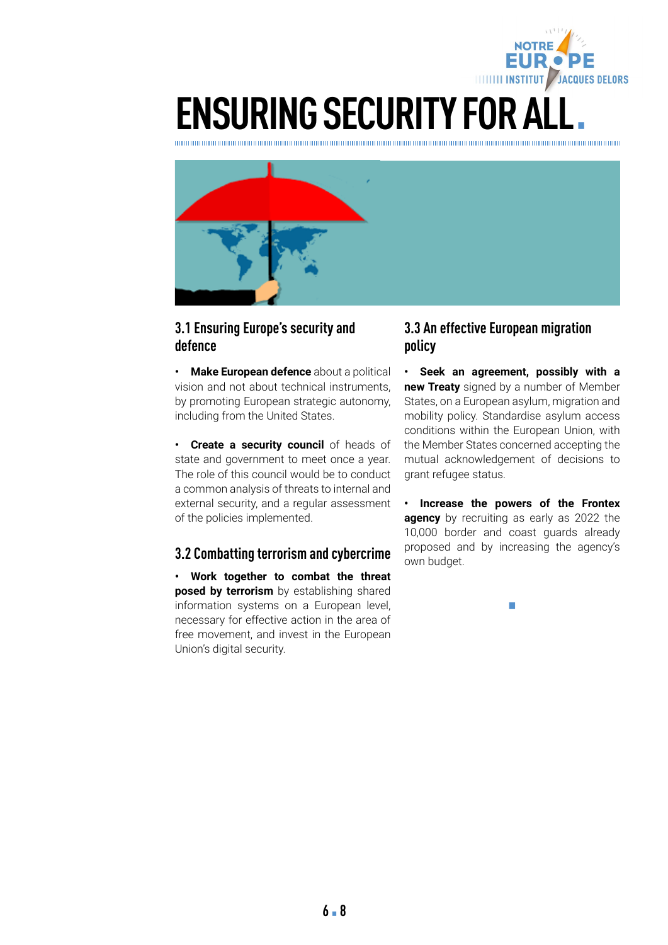

# **ENSURING SECURITY FOR ALL.**



#### **3.1 Ensuring Europe's security and defence**

**• Make European defence** about a political vision and not about technical instruments, by promoting European strategic autonomy, including from the United States.

**• Create a security council** of heads of state and government to meet once a year. The role of this council would be to conduct a common analysis of threats to internal and external security, and a regular assessment of the policies implemented.

#### **3.2 Combatting terrorism and cybercrime**

**• Work together to combat the threat posed by terrorism** by establishing shared information systems on a European level, necessary for effective action in the area of free movement, and invest in the European Union's digital security.

#### **3.3 An effective European migration policy**

**• Seek an agreement, possibly with a new Treaty** signed by a number of Member States, on a European asylum, migration and mobility policy. Standardise asylum access conditions within the European Union, with the Member States concerned accepting the mutual acknowledgement of decisions to grant refugee status.

**• Increase the powers of the Frontex agency** by recruiting as early as 2022 the 10,000 border and coast guards already proposed and by increasing the agency's own budget.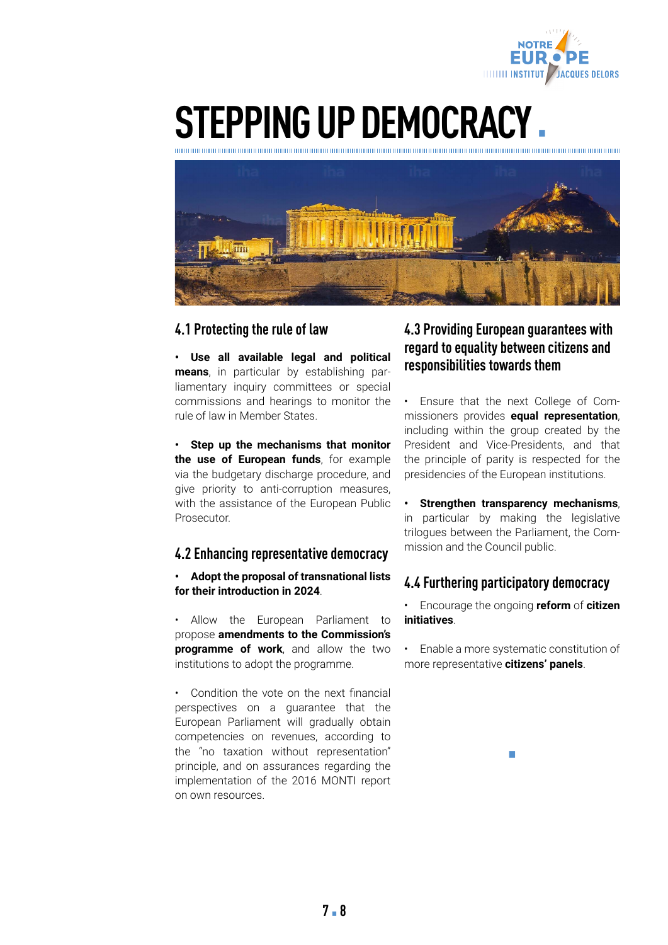

## **STEPPING UP DEMOCRACY**

hm

#### **4.1 Protecting the rule of law**

**• Use all available legal and political means**, in particular by establishing parliamentary inquiry committees or special commissions and hearings to monitor the rule of law in Member States.

**• Step up the mechanisms that monitor the use of European funds**, for example via the budgetary discharge procedure, and give priority to anti-corruption measures, with the assistance of the European Public **Prosecutor** 

#### **4.2 Enhancing representative democracy**

**• Adopt the proposal of transnational lists for their introduction in 2024**.

• Allow the European Parliament to propose **amendments to the Commission's programme of work**, and allow the two institutions to adopt the programme.

• Condition the vote on the next financial perspectives on a guarantee that the European Parliament will gradually obtain competencies on revenues, according to the "no taxation without representation" principle, and on assurances regarding the implementation of the 2016 MONTI report on own resources.

#### **4.3 Providing European guarantees with regard to equality between citizens and responsibilities towards them**

• Ensure that the next College of Commissioners provides **equal representation**, including within the group created by the President and Vice-Presidents, and that the principle of parity is respected for the presidencies of the European institutions.

**• Strengthen transparency mechanisms**, in particular by making the legislative trilogues between the Parliament, the Commission and the Council public.

#### **4.4 Furthering participatory democracy**

• Encourage the ongoing **reform** of **citizen initiatives**.

• Enable a more systematic constitution of more representative **citizens' panels**.